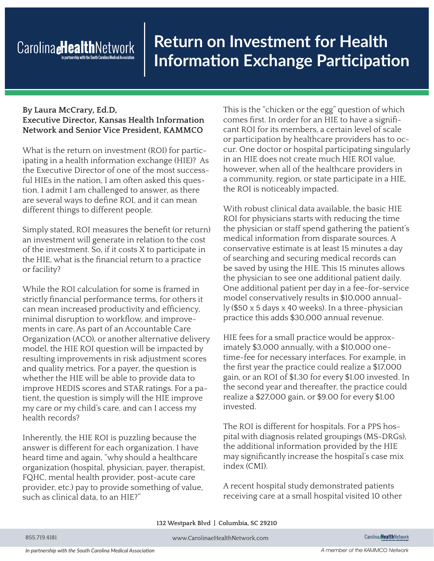## Carolina **eHealth**Network

## **Return on Investment for Health Information Exchange Participation**

## **By Laura McCrary, Ed.D, Executive Director, Kansas Health Information Network and Senior Vice President, KAMMCO**

What is the return on investment (ROI) for participating in a health information exchange (HIE)? As the Executive Director of one of the most successful HIEs in the nation, I am often asked this question. I admit I am challenged to answer, as there are several ways to define ROI, and it can mean different things to different people.

Simply stated, ROI measures the benefit (or return) an investment will generate in relation to the cost of the investment. So, if it costs X to participate in the HIE, what is the financial return to a practice or facility?

While the ROI calculation for some is framed in strictly financial performance terms, for others it can mean increased productivity and efficiency, minimal disruption to workflow, and improvements in care. As part of an Accountable Care Organization (ACO), or another alternative delivery model, the HIE ROI question will be impacted by resulting improvements in risk adjustment scores and quality metrics. For a payer, the question is whether the HIE will be able to provide data to improve HEDIS scores and STAR ratings. For a patient, the question is simply will the HIE improve my care or my child's care, and can I access my health records?

Inherently, the HIE ROI is puzzling because the answer is different for each organization. I have heard time and again, "why should a healthcare organization (hospital, physician, payer, therapist, FQHC, mental health provider, post-acute care provider, etc.) pay to provide something of value, such as clinical data, to an HIE?"

This is the "chicken or the egg" question of which comes first. In order for an HIE to have a significant ROI for its members, a certain level of scale or participation by healthcare providers has to occur. One doctor or hospital participating singularly in an HIE does not create much HIE ROI value, however, when all of the healthcare providers in a community, region, or state participate in a HIE, the ROI is noticeably impacted.

With robust clinical data available, the basic HIE ROI for physicians starts with reducing the time the physician or staff spend gathering the patient's medical information from disparate sources. A conservative estimate is at least 15 minutes a day of searching and securing medical records can be saved by using the HIE. This 15 minutes allows the physician to see one additional patient daily. One additional patient per day in a fee-for-service model conservatively results in \$10,000 annually (\$50 x 5 days x 40 weeks). In a three-physician practice this adds \$30,000 annual revenue.

HIE fees for a small practice would be approximately \$3,000 annually, with a \$10,000 onetime-fee for necessary interfaces. For example, in the first year the practice could realize a \$17,000 gain, or an ROI of \$1.30 for every \$1.00 invested. In the second year and thereafter, the practice could realize a \$27,000 gain, or \$9.00 for every \$1.00 invested.

The ROI is different for hospitals. For a PPS hospital with diagnosis related groupings (MS-DRGs), the additional information provided by the HIE may significantly increase the hospital's case mix index (CMI).

A recent hospital study demonstrated patients receiving care at a small hospital visited 10 other

**132 Westpark Blvd | Columbia, SC 29210**

855.719.4181